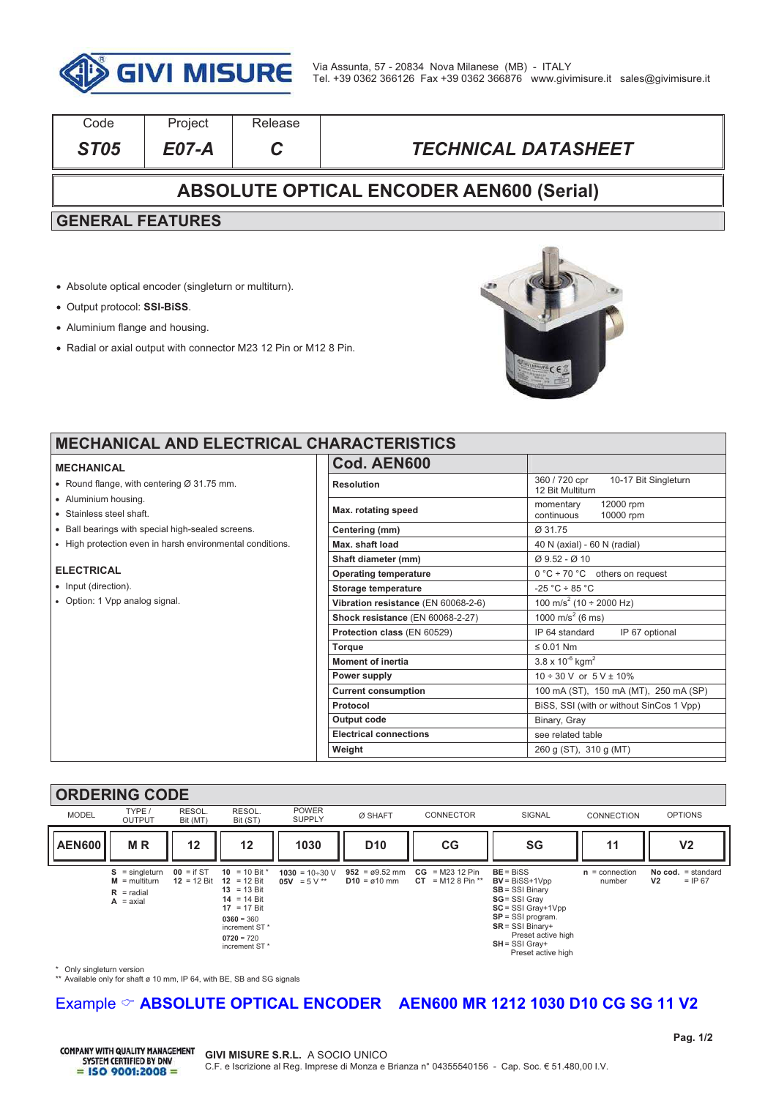

| Code                                            | Project | Release |                            |  |  |  |
|-------------------------------------------------|---------|---------|----------------------------|--|--|--|
| ST <sub>05</sub>                                | E07-A   | C.      | <b>TECHNICAL DATASHEET</b> |  |  |  |
| <b>ABSOLUTE OPTICAL ENCODER AEN600 (Serial)</b> |         |         |                            |  |  |  |
| <b>GENERAL FEATURES</b>                         |         |         |                            |  |  |  |

- ! Absolute optical encoder (singleturn or multiturn).
- ! Output protocol: **SSI-BiSS**.
- Aluminium flange and housing.
- ! Radial or axial output with connector M23 12 Pin or M12 8 Pin.



### **MECHANICAL AND ELECTRICAL CH**

#### **MECHANICAL**

- $\bullet$  Round flange, with centering Ø 31.75 mm.
- . Aluminium housing.
- . Stainless steel shaft.
- . Ball bearings with special high-sealed screens.
- . High protection even in harsh environmental conditions.

#### **ELECTRICAL**

- Input (direction).
- Option: 1 Vpp analog signal.

| 1ARAC I ERIS I ICS                  |                                                           |  |  |  |
|-------------------------------------|-----------------------------------------------------------|--|--|--|
| Cod. AEN600                         |                                                           |  |  |  |
| <b>Resolution</b>                   | 360 / 720 cpr<br>10-17 Bit Singleturn<br>12 Bit Multiturn |  |  |  |
| Max. rotating speed                 | 12000 rpm<br>momentary<br>continuous<br>10000 rpm         |  |  |  |
| Centering (mm)                      | Ø 31.75                                                   |  |  |  |
| Max. shaft load                     | 40 N (axial) - 60 N (radial)                              |  |  |  |
| Shaft diameter (mm)                 | $Ø$ 9.52 - $Ø$ 10                                         |  |  |  |
| <b>Operating temperature</b>        | $0 °C \div 70 °C$ others on request                       |  |  |  |
| <b>Storage temperature</b>          | $-25 °C \div 85 °C$                                       |  |  |  |
| Vibration resistance (EN 60068-2-6) | 100 m/s <sup>2</sup> (10 ÷ 2000 Hz)                       |  |  |  |
| Shock resistance (EN 60068-2-27)    | $\frac{1000 \text{ m/s}^2}{6 \text{ ms}}$                 |  |  |  |
| Protection class (EN 60529)         | IP 64 standard<br>IP 67 optional                          |  |  |  |
| <b>Torque</b>                       | $\leq 0.01$ Nm                                            |  |  |  |
| <b>Moment of inertia</b>            | $3.8 \times 10^{-6}$ kgm <sup>2</sup>                     |  |  |  |
| Power supply                        | $10 \div 30$ V or $5$ V $\pm$ 10%                         |  |  |  |
| <b>Current consumption</b>          | 100 mA (ST), 150 mA (MT), 250 mA (SP)                     |  |  |  |
| Protocol                            | BiSS, SSI (with or without SinCos 1 Vpp)                  |  |  |  |
| Output code                         | Binary, Gray                                              |  |  |  |
| <b>Electrical connections</b>       | see related table                                         |  |  |  |
| Weight                              | 260 g (ST), 310 g (MT)                                    |  |  |  |

#### **ORDERING CODE**



\* Only singleturn version

\*\* Available only for shaft ø 10 mm, IP 64, with BE, SB and SG signals

# Example  $\degree$  **ABSOLUTE OPTICAL ENCODER** AEN600 MR 1212 1030 D10 CG SG 11 V2

**COMPANY WITH QUALITY MANAGEMENT** SYSTEM CERTIFIED BY DNV  $=$  ISO 9001:2008 =